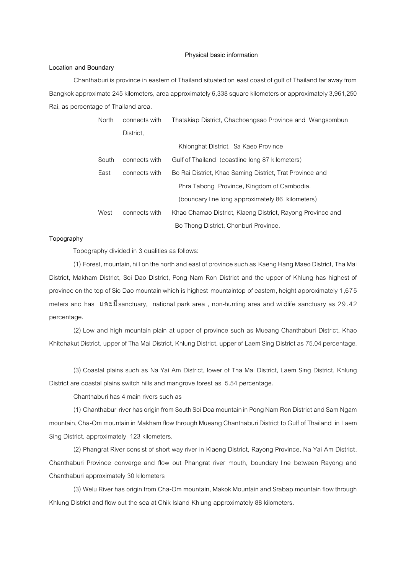#### **Physical basic information**

### **Location and Boundary**

Chanthaburi is province in eastern of Thailand situated on east coast of gulf of Thailand far away from Bangkok approximate 245 kilometers, area approximately 6,338 square kilometers or approximately 3,961,250 Rai, as percentage of Thailand area.

| North | connects with | Thatakiap District, Chachoengsao Province and Wangsombun   |
|-------|---------------|------------------------------------------------------------|
|       | District.     |                                                            |
|       |               | Khlonghat District, Sa Kaeo Province                       |
| South | connects with | Gulf of Thailand (coastline long 87 kilometers)            |
| East  | connects with | Bo Rai District, Khao Saming District, Trat Province and   |
|       |               | Phra Tabong Province, Kingdom of Cambodia.                 |
|       |               | (boundary line long approximately 86 kilometers)           |
| West  | connects with | Khao Chamao District, Klaeng District, Rayong Province and |
|       |               | Bo Thong District, Chonburi Province.                      |

#### **Topography**

Topography divided in 3 qualities as follows:

(1) Forest, mountain, hill on the north and east of province such as Kaeng Hang Maeo District, Tha Mai District, Makham District, Soi Dao District, Pong Nam Ron District and the upper of Khlung has highest of province on the top of Sio Dao mountain which is highest mountaintop of eastern, height approximately 1,675 meters and has และมีsanctuary, national park area, non-hunting area and wildlife sanctuary as 29.42 percentage.

(2) Low and high mountain plain at upper of province such as Mueang Chanthaburi District, Khao Khitchakut District, upper of Tha Mai District, Khlung District, upper of Laem Sing District as 75.04 percentage.

(3) Coastal plains such as Na Yai Am District, lower of Tha Mai District, Laem Sing District, Khlung District are coastal plains switch hills and mangrove forest as 5.54 percentage.

Chanthaburi has 4 main rivers such as

(1) Chanthaburi riverhas origin from South Soi Doa mountain in Pong Nam Ron Districtand Sam Ngam mountain, Cha-Om mountain in Makham flow through Mueang Chanthaburi District to Gulf of Thailand in Laem Sing District, approximately 123 kilometers.

(2) Phangrat River consist of short way river in Klaeng District, Rayong Province, Na Yai Am District, Chanthaburi Province converge and flow out Phangrat river mouth, boundary line between Rayong and Chanthaburi approximately 30 kilometers

(3) Welu River has origin from Cha-Om mountain, Makok Mountain and Srabap mountain flow through Khlung District and flow out the sea at Chik Island Khlung approximately 88 kilometers.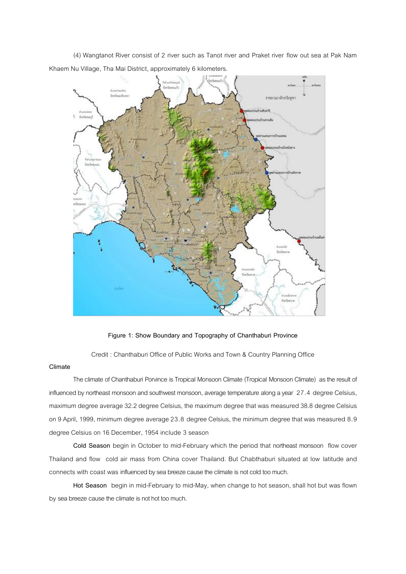(4) Wangtanot River consist of 2 river such as Tanot river and Praket river flow out sea at Pak Nam Khaem Nu Village, Tha Mai District, approximately 6 kilometers.



**Figure 1: Show Boundary and Topography of Chanthaburi Province**

Credit : Chanthaburi Office of Public Works and Town & Country Planning Office

#### **Climate**

The climate of Chanthaburi Porvince is Tropical Monsoon Climate (Tropical Monsoon Climate) as the result of influenced by northeast monsoon and southwest monsoon, average temperature along a year 27.4 degree Celsius, maximum degree average 32.2 degree Celsius, the maximum degree that was measured 38.8 degree Celsius on 9 April, 1999, minimum degree average 23.8 degree Celsius, the minimum degree that was measured 8.9 degree Celsius on 16 December, 1954 include 3 season

**Cold Season** begin in October to mid-February which the period that northeast monsoon flow cover Thailand and flow cold air mass from China cover Thailand. But Chabthaburi situated at low latitude and connects with coast was influenced by sea breeze cause the climate is not cold too much.

**Hot Season** begin in mid-February to mid-May, when change to hot season, shall hot but was flown by sea breeze cause the climate is not hot too much.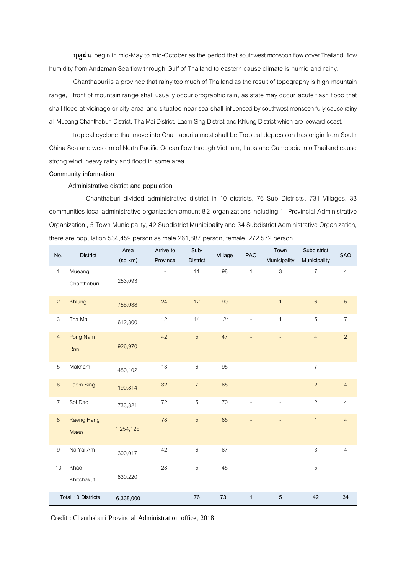**ฤดูฝน** begin in mid-May to mid-October as the period that southwest monsoon flow cover Thailand, flow humidity from Andaman Sea flow through Gulf of Thailand to eastern cause climate is humid and rainy.

Chanthaburi is a province that rainy too much of Thailand as the result of topography is high mountain range, front of mountain range shall usually occur orographic rain, as state may occur acute flash flood that shall flood at vicinage or city area and situated near sea shall influenced by southwest monsoon fully cause rainy all Mueang Chanthaburi District, Tha Mai District, Laem Sing District and Khlung District which are leeward coast.

tropical cyclone that move into Chathaburi almost shall be Tropical depression has origin from South China Sea and western of North Pacific Ocean flow through Vietnam, Laosand Cambodia into Thailand cause strong wind, heavy rainy and flood in some area.

#### **Community information**

## **Administrative district and population**

Chanthaburi divided administrative district in 10 districts, 76 Sub Districts, 731 Villages, 33 communities local administrative organization amount 8 2 organizations including 1 Provincial Administrative Organization, 5 Town Municipality,42 Subdistrict Municipality and 34 Subdistrict Administrative Organization, there are population 534,459 person as male 261,887 person, female 272,572 person

| No.                       | <b>District</b>   | Area      | Arrive to | Sub-            | Village | PAO          | Town           | Subdistrict    | <b>SAO</b>     |
|---------------------------|-------------------|-----------|-----------|-----------------|---------|--------------|----------------|----------------|----------------|
|                           |                   | (sq km)   | Province  | <b>District</b> |         |              | Municipality   | Municipality   |                |
| $\mathbf{1}$              | Mueang            |           |           | 11              | 98      | $\mathbf{1}$ | $\mathfrak{S}$ | $\overline{7}$ | $\overline{4}$ |
|                           | Chanthaburi       | 253,093   |           |                 |         |              |                |                |                |
| $\overline{c}$            | Khlung            | 756,038   | 24        | 12              | 90      |              | $\mathbf{1}$   | $\,6\,$        | 5              |
| $\sqrt{3}$                | Tha Mai           | 612,800   | 12        | 14              | 124     |              | $\mathbf{1}$   | 5              | $\overline{7}$ |
| $\overline{4}$            | Pong Nam          | 926,970   | 42        | 5               | 47      |              | $\overline{a}$ | $\overline{4}$ | $\overline{c}$ |
|                           | Ron               |           |           |                 |         |              |                |                |                |
| 5                         | Makham            | 480,102   | 13        | $\,6\,$         | 95      |              |                | $\overline{7}$ |                |
| $\,6\,$                   | <b>Laem Sing</b>  | 190,814   | 32        | $\overline{7}$  | 65      |              |                | $\overline{2}$ | $\overline{4}$ |
| $\overline{7}$            | Soi Dao           | 733,821   | 72        | $\,$ 5 $\,$     | 70      |              |                | $\overline{c}$ | $\overline{4}$ |
| $\,8\,$                   | <b>Kaeng Hang</b> |           | 78        | 5               | 66      |              |                | $\overline{1}$ | $\overline{4}$ |
|                           | Maeo              | 1,254,125 |           |                 |         |              |                |                |                |
| $\hbox{9}$                | Na Yai Am         | 300,017   | 42        | $\,6$           | 67      |              |                | $\mathfrak{S}$ | $\overline{4}$ |
| 10                        | Khao              |           | 28        | $\,$ 5 $\,$     | 45      |              |                | $\,$ 5 $\,$    |                |
|                           | Khitchakut        | 830,220   |           |                 |         |              |                |                |                |
| <b>Total 10 Districts</b> |                   | 6,338,000 |           | 76              | 731     | $\mathbf{1}$ | 5              | 42             | 34             |

Credit : Chanthaburi Provincial Administration office, 2018